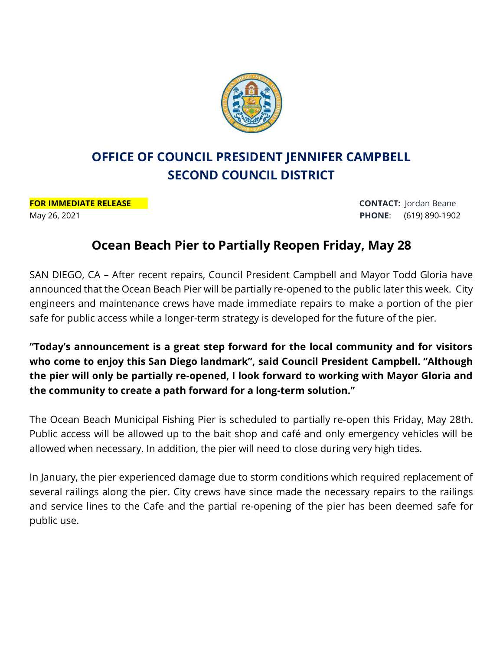

## **OFFICE OF COUNCIL PRESIDENT JENNIFER CAMPBELL SECOND COUNCIL DISTRICT**

**FOR IMMEDIATE RELEASE CONTACT:** Indian Beane

May 26, 2021 **PHONE**: (619) 890-1902

## **Ocean Beach Pier to Partially Reopen Friday, May 28**

SAN DIEGO, CA – After recent repairs, Council President Campbell and Mayor Todd Gloria have announced that the Ocean Beach Pier will be partially re-opened to the public later this week. City engineers and maintenance crews have made immediate repairs to make a portion of the pier safe for public access while a longer-term strategy is developed for the future of the pier.

**"Today's announcement is a great step forward for the local community and for visitors who come to enjoy this San Diego landmark", said Council President Campbell. "Although the pier will only be partially re-opened, I look forward to working with Mayor Gloria and the community to create a path forward for a long-term solution."**

The Ocean Beach Municipal Fishing Pier is scheduled to partially re-open this Friday, May 28th. Public access will be allowed up to the bait shop and café and only emergency vehicles will be allowed when necessary. In addition, the pier will need to close during very high tides.

In January, the pier experienced damage due to storm conditions which required replacement of several railings along the pier. City crews have since made the necessary repairs to the railings and service lines to the Cafe and the partial re-opening of the pier has been deemed safe for public use.